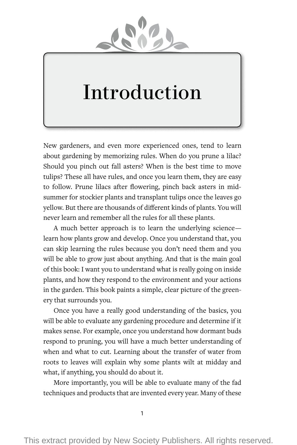

# Introduction

New gardeners, and even more experienced ones, tend to learn about gardening by memorizing rules. When do you prune a lilac? Should you pinch out fall asters? When is the best time to move tulips? These all have rules, and once you learn them, they are easy to follow. Prune lilacs after flowering, pinch back asters in midsummer for stockier plants and transplant tulips once the leaves go yellow. But there are thousands of different kinds of plants. You will never learn and remember all the rules for all these plants.

A much better approach is to learn the underlying science learn how plants grow and develop. Once you understand that, you can skip learning the rules because you don't need them and you will be able to grow just about anything. And that is the main goal of this book: I want you to understand what is really going on inside plants, and how they respond to the environment and your actions in the garden. This book paints a simple, clear picture of the greenery that surrounds you.

Once you have a really good understanding of the basics, you will be able to evaluate any gardening procedure and determine if it makes sense. For example, once you understand how dormant buds respond to pruning, you will have a much better understanding of when and what to cut. Learning about the transfer of water from roots to leaves will explain why some plants wilt at midday and what, if anything, you should do about it.

More importantly, you will be able to evaluate many of the fad techniques and products that are invented every year. Many of these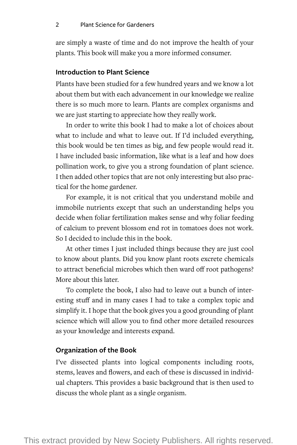are simply a waste of time and do not improve the health of your plants. This book will make you a more informed consumer.

# **Introduction to Plant Science**

Plants have been studied for a few hundred years and we know a lot about them but with each advancement in our knowledge we realize there is so much more to learn. Plants are complex organisms and we are just starting to appreciate how they really work.

In order to write this book I had to make a lot of choices about what to include and what to leave out. If I'd included everything, this book would be ten times as big, and few people would read it. I have included basic information, like what is a leaf and how does pollination work, to give you a strong foundation of plant science. I then added other topics that are not only interesting but also practical for the home gardener.

For example, it is not critical that you understand mobile and immobile nutrients except that such an understanding helps you decide when foliar fertilization makes sense and why foliar feeding of calcium to prevent blossom end rot in tomatoes does not work. So I decided to include this in the book.

At other times I just included things because they are just cool to know about plants. Did you know plant roots excrete chemicals to attract beneficial microbes which then ward off root pathogens? More about this later.

To complete the book, I also had to leave out a bunch of interesting stuff and in many cases I had to take a complex topic and simplify it. I hope that the book gives you a good grounding of plant science which will allow you to find other more detailed resources as your knowledge and interests expand.

#### **Organization of the Book**

I've dissected plants into logical components including roots, stems, leaves and flowers, and each of these is discussed in individual chapters. This provides a basic background that is then used to discuss the whole plant as a single organism.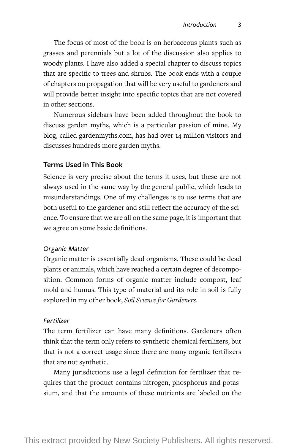The focus of most of the book is on herbaceous plants such as grasses and perennials but a lot of the discussion also applies to woody plants. I have also added a special chapter to discuss topics that are specific to trees and shrubs. The book ends with a couple of chapters on propagation that will be very useful to gardeners and will provide better insight into specific topics that are not covered in other sections.

Numerous sidebars have been added throughout the book to discuss garden myths, which is a particular passion of mine. My blog, called gardenmyths.com, has had over 14 million visitors and discusses hundreds more garden myths.

#### **Terms Used in This Book**

Science is very precise about the terms it uses, but these are not always used in the same way by the general public, which leads to misunderstandings. One of my challenges is to use terms that are both useful to the gardener and still reflect the accuracy of the science. To ensure that we are all on the same page, it is important that we agree on some basic definitions.

#### *Organic Matter*

Organic matter is essentially dead organisms. These could be dead plants or animals, which have reached a certain degree of decomposition. Common forms of organic matter include compost, leaf mold and humus. This type of material and its role in soil is fully explored in my other book, *Soil Science for Gardeners*.

#### *Fertilizer*

The term fertilizer can have many definitions. Gardeners often think that the term only refers to synthetic chemical fertilizers, but that is not a correct usage since there are many organic fertilizers that are not synthetic.

Many jurisdictions use a legal definition for fertilizer that requires that the product contains nitrogen, phosphorus and potassium, and that the amounts of these nutrients are labeled on the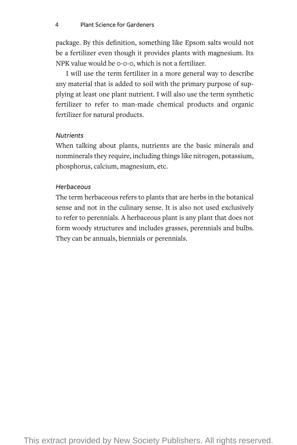package. By this definition, something like Epsom salts would not be a fertilizer even though it provides plants with magnesium. Its NPK value would be 0-0-0, which is not a fertilizer.

I will use the term fertilizer in a more general way to describe any material that is added to soil with the primary purpose of supplying at least one plant nutrient. I will also use the term synthetic fertilizer to refer to man-made chemical products and organic fertilizer for natural products.

# *Nutrients*

When talking about plants, nutrients are the basic minerals and nonminerals they require, including things like nitrogen, potassium, phosphorus, calcium, magnesium, etc.

# *Herbaceous*

The term herbaceous refers to plants that are herbs in the botanical sense and not in the culinary sense. It is also not used exclusively to refer to perennials. A herbaceous plant is any plant that does not form woody structures and includes grasses, perennials and bulbs. They can be annuals, biennials or perennials.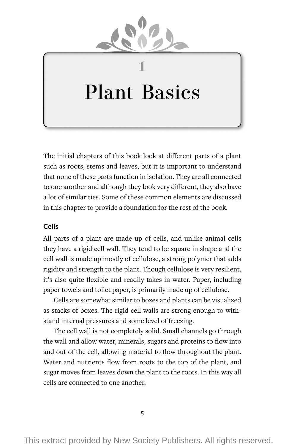

# Plant Basics

**1**

The initial chapters of this book look at different parts of a plant such as roots, stems and leaves, but it is important to understand that none of these parts function in isolation. They are all connected to one another and although they look very different, they also have a lot of similarities. Some of these common elements are discussed in this chapter to provide a foundation for the rest of the book.

## **Cells**

All parts of a plant are made up of cells, and unlike animal cells they have a rigid cell wall. They tend to be square in shape and the cell wall is made up mostly of cellulose, a strong polymer that adds rigidity and strength to the plant. Though cellulose is very resilient, it's also quite flexible and readily takes in water. Paper, including paper towels and toilet paper, is primarily made up of cellulose.

Cells are somewhat similar to boxes and plants can be visualized as stacks of boxes. The rigid cell walls are strong enough to withstand internal pressures and some level of freezing.

The cell wall is not completely solid. Small channels go through the wall and allow water, minerals, sugars and proteins to flow into and out of the cell, allowing material to flow throughout the plant. Water and nutrients flow from roots to the top of the plant, and sugar moves from leaves down the plant to the roots. In this way all cells are connected to one another.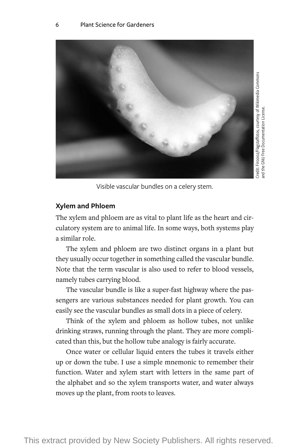

Visible vascular bundles on a celery stem.

# **Xylem and Phloem**

The xylem and phloem are as vital to plant life as the heart and circulatory system are to animal life. In some ways, both systems play a similar role.

The xylem and phloem are two distinct organs in a plant but they usually occur together in something called the vascular bundle. Note that the term vascular is also used to refer to blood vessels, namely tubes carrying blood.

The vascular bundle is like a super-fast highway where the passengers are various substances needed for plant growth. You can easily see the vascular bundles as small dots in a piece of celery.

Think of the xylem and phloem as hollow tubes, not unlike drinking straws, running through the plant. They are more complicated than this, but the hollow tube analogy is fairly accurate.

Once water or cellular liquid enters the tubes it travels either up or down the tube. I use a simple mnemonic to remember their function. Water and xylem start with letters in the same part of the alphabet and so the xylem transports water, and water always moves up the plant, from roots to leaves.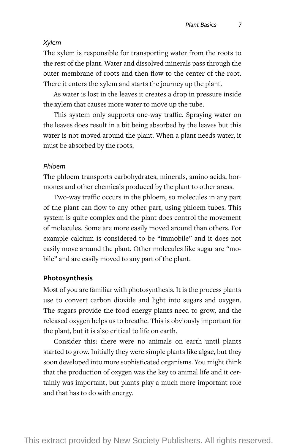#### *Xylem*

The xylem is responsible for transporting water from the roots to the rest of the plant. Water and dissolved minerals pass through the outer membrane of roots and then flow to the center of the root. There it enters the xylem and starts the journey up the plant.

As water is lost in the leaves it creates a drop in pressure inside the xylem that causes more water to move up the tube.

This system only supports one-way traffic. Spraying water on the leaves does result in a bit being absorbed by the leaves but this water is not moved around the plant. When a plant needs water, it must be absorbed by the roots.

#### *Phloem*

The phloem transports carbohydrates, minerals, amino acids, hormones and other chemicals produced by the plant to other areas.

Two-way traffic occurs in the phloem, so molecules in any part of the plant can flow to any other part, using phloem tubes. This system is quite complex and the plant does control the movement of molecules. Some are more easily moved around than others. For example calcium is considered to be "immobile" and it does not easily move around the plant. Other molecules like sugar are "mobile" and are easily moved to any part of the plant.

#### **Photosynthesis**

Most of you are familiar with photosynthesis. It is the process plants use to convert carbon dioxide and light into sugars and oxygen. The sugars provide the food energy plants need to grow, and the released oxygen helps us to breathe. This is obviously important for the plant, but it is also critical to life on earth.

Consider this: there were no animals on earth until plants started to grow. Initially they were simple plants like algae, but they soon developed into more sophisticated organisms. You might think that the production of oxygen was the key to animal life and it certainly was important, but plants play a much more important role and that has to do with energy.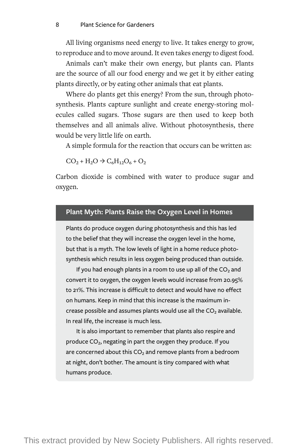All living organisms need energy to live. It takes energy to grow, to reproduce and to move around. It even takes energy to digest food.

Animals can't make their own energy, but plants can. Plants are the source of all our food energy and we get it by either eating plants directly, or by eating other animals that eat plants.

Where do plants get this energy? From the sun, through photosynthesis. Plants capture sunlight and create energy-storing molecules called sugars. Those sugars are then used to keep both themselves and all animals alive. Without photosynthesis, there would be very little life on earth.

A simple formula for the reaction that occurs can be written as:

 $CO_2 + H_2O \rightarrow C_6H_{12}O_6 + O_2$ 

Carbon dioxide is combined with water to produce sugar and oxygen.

#### **Plant Myth: Plants Raise the Oxygen Level in Homes**

Plants do produce oxygen during photosynthesis and this has led to the belief that they will increase the oxygen level in the home, but that is a myth. The low levels of light in a home reduce photosynthesis which results in less oxygen being produced than outside.

If you had enough plants in a room to use up all of the  $CO<sub>2</sub>$  and convert it to oxygen, the oxygen levels would increase from 20.95% to 21%. This increase is difficult to detect and would have no effect on humans. Keep in mind that this increase is the maximum increase possible and assumes plants would use all the  $CO<sub>2</sub>$  available. In real life, the increase is much less.

It is also important to remember that plants also respire and produce  $CO<sub>2</sub>$ , negating in part the oxygen they produce. If you are concerned about this  $CO<sub>2</sub>$  and remove plants from a bedroom at night, don't bother. The amount is tiny compared with what humans produce.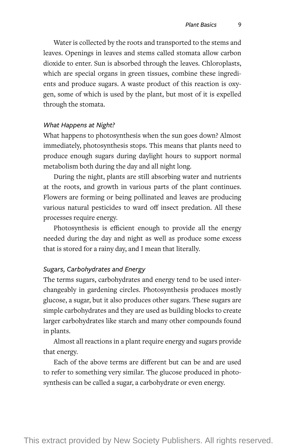Water is collected by the roots and transported to the stems and leaves. Openings in leaves and stems called stomata allow carbon dioxide to enter. Sun is absorbed through the leaves. Chloroplasts, which are special organs in green tissues, combine these ingredients and produce sugars. A waste product of this reaction is oxygen, some of which is used by the plant, but most of it is expelled through the stomata.

#### *What Happens at Night?*

What happens to photosynthesis when the sun goes down? Almost immediately, photosynthesis stops. This means that plants need to produce enough sugars during daylight hours to support normal metabolism both during the day and all night long.

During the night, plants are still absorbing water and nutrients at the roots, and growth in various parts of the plant continues. Flowers are forming or being pollinated and leaves are producing various natural pesticides to ward off insect predation. All these processes require energy.

Photosynthesis is efficient enough to provide all the energy needed during the day and night as well as produce some excess that is stored for a rainy day, and I mean that literally.

#### *Sugars, Carbohydrates and Energy*

The terms sugars, carbohydrates and energy tend to be used interchangeably in gardening circles. Photosynthesis produces mostly glucose, a sugar, but it also produces other sugars. These sugars are simple carbohydrates and they are used as building blocks to create larger carbohydrates like starch and many other compounds found in plants.

Almost all reactions in a plant require energy and sugars provide that energy.

Each of the above terms are different but can be and are used to refer to something very similar. The glucose produced in photosynthesis can be called a sugar, a carbohydrate or even energy.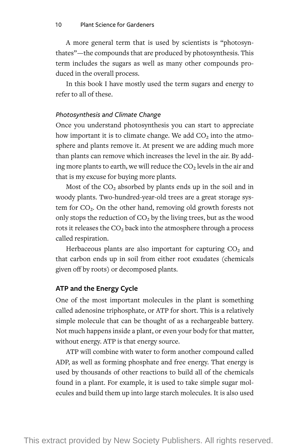A more general term that is used by scientists is "photosynthates"— the compounds that are produced by photosynthesis. This term includes the sugars as well as many other compounds produced in the overall process.

In this book I have mostly used the term sugars and energy to refer to all of these.

#### *Photosynthesis and Climate Change*

Once you understand photosynthesis you can start to appreciate how important it is to climate change. We add  $CO<sub>2</sub>$  into the atmosphere and plants remove it. At present we are adding much more than plants can remove which increases the level in the air. By adding more plants to earth, we will reduce the  $CO<sub>2</sub>$  levels in the air and that is my excuse for buying more plants.

Most of the  $CO<sub>2</sub>$  absorbed by plants ends up in the soil and in woody plants. Two-hundred-year-old trees are a great storage system for  $CO<sub>2</sub>$ . On the other hand, removing old growth forests not only stops the reduction of  $CO<sub>2</sub>$  by the living trees, but as the wood rots it releases the  $CO<sub>2</sub>$  back into the atmosphere through a process called respiration.

Herbaceous plants are also important for capturing  $CO<sub>2</sub>$  and that carbon ends up in soil from either root exudates (chemicals given off by roots) or decomposed plants.

## **ATP and the Energy Cycle**

One of the most important molecules in the plant is something called adenosine triphosphate, or ATP for short. This is a relatively simple molecule that can be thought of as a rechargeable battery. Not much happens inside a plant, or even your body for that matter, without energy. ATP is that energy source.

ATP will combine with water to form another compound called ADP, as well as forming phosphate and free energy. That energy is used by thousands of other reactions to build all of the chemicals found in a plant. For example, it is used to take simple sugar molecules and build them up into large starch molecules. It is also used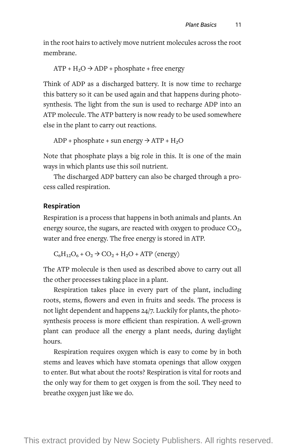in the root hairs to actively move nutrient molecules across the root membrane.

$$
ATP + H_2O \rightarrow ADP + phosphate + free energy
$$

Think of ADP as a discharged battery. It is now time to recharge this battery so it can be used again and that happens during photosynthesis. The light from the sun is used to recharge ADP into an ATP molecule. The ATP battery is now ready to be used somewhere else in the plant to carry out reactions.

ADP + phosphate + sun energy  $\rightarrow$  ATP + H<sub>2</sub>O

Note that phosphate plays a big role in this. It is one of the main ways in which plants use this soil nutrient.

The discharged ADP battery can also be charged through a process called respiration.

#### **Respiration**

Respiration is a process that happens in both animals and plants. An energy source, the sugars, are reacted with oxygen to produce  $CO<sub>2</sub>$ , water and free energy. The free energy is stored in ATP.

 $C_6H_{12}O_6 + O_2 \rightarrow CO_2 + H_2O + ATP$  (energy)

The ATP molecule is then used as described above to carry out all the other processes taking place in a plant.

Respiration takes place in every part of the plant, including roots, stems, flowers and even in fruits and seeds. The process is not light dependent and happens 24/7. Luckily for plants, the photosynthesis process is more efficient than respiration. A well-grown plant can produce all the energy a plant needs, during daylight hours.

Respiration requires oxygen which is easy to come by in both stems and leaves which have stomata openings that allow oxygen to enter. But what about the roots? Respiration is vital for roots and the only way for them to get oxygen is from the soil. They need to breathe oxygen just like we do.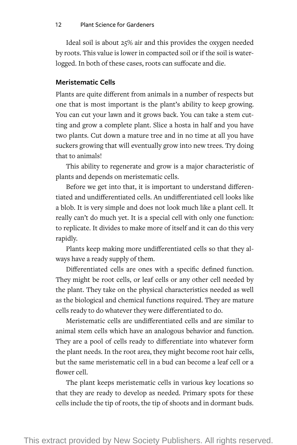Ideal soil is about 25% air and this provides the oxygen needed by roots. This value is lower in compacted soil or if the soil is waterlogged. In both of these cases, roots can suffocate and die.

# **Meristematic Cells**

Plants are quite different from animals in a number of respects but one that is most important is the plant's ability to keep growing. You can cut your lawn and it grows back. You can take a stem cutting and grow a complete plant. Slice a hosta in half and you have two plants. Cut down a mature tree and in no time at all you have suckers growing that will eventually grow into new trees. Try doing that to animals!

This ability to regenerate and grow is a major characteristic of plants and depends on meristematic cells.

Before we get into that, it is important to understand differentiated and undifferentiated cells. An undifferentiated cell looks like a blob. It is very simple and does not look much like a plant cell. It really can't do much yet. It is a special cell with only one function: to replicate. It divides to make more of itself and it can do this very rapidly.

Plants keep making more undifferentiated cells so that they always have a ready supply of them.

Differentiated cells are ones with a specific defined function. They might be root cells, or leaf cells or any other cell needed by the plant. They take on the physical characteristics needed as well as the biological and chemical functions required. They are mature cells ready to do whatever they were differentiated to do.

Meristematic cells are undifferentiated cells and are similar to animal stem cells which have an analogous behavior and function. They are a pool of cells ready to differentiate into whatever form the plant needs. In the root area, they might become root hair cells, but the same meristematic cell in a bud can become a leaf cell or a flower cell.

The plant keeps meristematic cells in various key locations so that they are ready to develop as needed. Primary spots for these cells include the tip of roots, the tip of shoots and in dormant buds.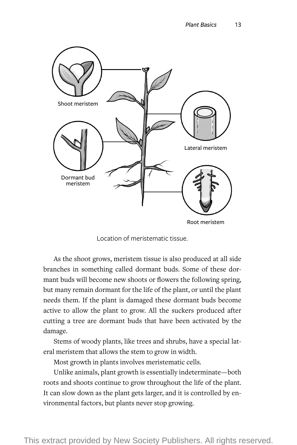

Location of meristematic tissue.

As the shoot grows, meristem tissue is also produced at all side branches in something called dormant buds. Some of these dormant buds will become new shoots or flowers the following spring, but many remain dormant for the life of the plant, or until the plant needs them. If the plant is damaged these dormant buds become active to allow the plant to grow. All the suckers produced after cutting a tree are dormant buds that have been activated by the damage.

Stems of woody plants, like trees and shrubs, have a special lateral meristem that allows the stem to grow in width.

Most growth in plants involves meristematic cells.

Unlike animals, plant growth is essentially indeterminate— both roots and shoots continue to grow throughout the life of the plant. It can slow down as the plant gets larger, and it is controlled by environmental factors, but plants never stop growing.